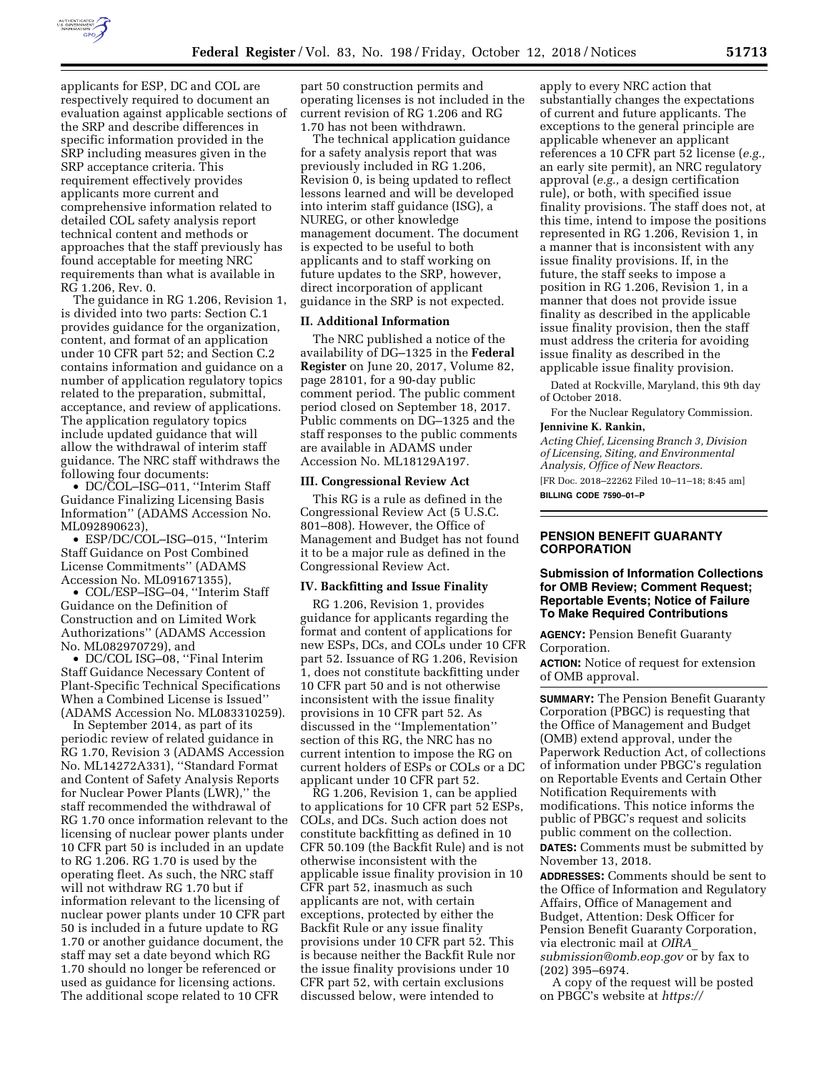

applicants for ESP, DC and COL are respectively required to document an evaluation against applicable sections of the SRP and describe differences in specific information provided in the SRP including measures given in the SRP acceptance criteria. This requirement effectively provides applicants more current and comprehensive information related to detailed COL safety analysis report technical content and methods or approaches that the staff previously has found acceptable for meeting NRC requirements than what is available in RG 1.206, Rev. 0.

The guidance in RG 1.206, Revision 1, is divided into two parts: Section C.1 provides guidance for the organization, content, and format of an application under 10 CFR part 52; and Section C.2 contains information and guidance on a number of application regulatory topics related to the preparation, submittal, acceptance, and review of applications. The application regulatory topics include updated guidance that will allow the withdrawal of interim staff guidance. The NRC staff withdraws the following four documents:

• DC/COL-ISG-011, "Interim Staff Guidance Finalizing Licensing Basis Information'' (ADAMS Accession No. ML092890623),

• ESP/DC/COL–ISG–015, ''Interim Staff Guidance on Post Combined License Commitments'' (ADAMS Accession No. ML091671355),

• COL/ESP–ISG–04, ''Interim Staff Guidance on the Definition of Construction and on Limited Work Authorizations'' (ADAMS Accession No. ML082970729), and

• DC/COL ISG-08, "Final Interim Staff Guidance Necessary Content of Plant-Specific Technical Specifications When a Combined License is Issued'' (ADAMS Accession No. ML083310259).

In September 2014, as part of its periodic review of related guidance in RG 1.70, Revision 3 (ADAMS Accession No. ML14272A331), ''Standard Format and Content of Safety Analysis Reports for Nuclear Power Plants (LWR),'' the staff recommended the withdrawal of RG 1.70 once information relevant to the licensing of nuclear power plants under 10 CFR part 50 is included in an update to RG 1.206. RG 1.70 is used by the operating fleet. As such, the NRC staff will not withdraw RG 1.70 but if information relevant to the licensing of nuclear power plants under 10 CFR part 50 is included in a future update to RG 1.70 or another guidance document, the staff may set a date beyond which RG 1.70 should no longer be referenced or used as guidance for licensing actions. The additional scope related to 10 CFR

part 50 construction permits and operating licenses is not included in the current revision of RG 1.206 and RG 1.70 has not been withdrawn.

The technical application guidance for a safety analysis report that was previously included in RG 1.206, Revision 0, is being updated to reflect lessons learned and will be developed into interim staff guidance (ISG), a NUREG, or other knowledge management document. The document is expected to be useful to both applicants and to staff working on future updates to the SRP, however, direct incorporation of applicant guidance in the SRP is not expected.

#### **II. Additional Information**

The NRC published a notice of the availability of DG–1325 in the **Federal Register** on June 20, 2017, Volume 82, page 28101, for a 90-day public comment period. The public comment period closed on September 18, 2017. Public comments on DG–1325 and the staff responses to the public comments are available in ADAMS under Accession No. ML18129A197.

### **III. Congressional Review Act**

This RG is a rule as defined in the Congressional Review Act (5 U.S.C. 801–808). However, the Office of Management and Budget has not found it to be a major rule as defined in the Congressional Review Act.

### **IV. Backfitting and Issue Finality**

RG 1.206, Revision 1, provides guidance for applicants regarding the format and content of applications for new ESPs, DCs, and COLs under 10 CFR part 52. Issuance of RG 1.206, Revision 1, does not constitute backfitting under 10 CFR part 50 and is not otherwise inconsistent with the issue finality provisions in 10 CFR part 52. As discussed in the ''Implementation'' section of this RG, the NRC has no current intention to impose the RG on current holders of ESPs or COLs or a DC applicant under 10 CFR part 52.

RG 1.206, Revision 1, can be applied to applications for 10 CFR part 52 ESPs, COLs, and DCs. Such action does not constitute backfitting as defined in 10 CFR 50.109 (the Backfit Rule) and is not otherwise inconsistent with the applicable issue finality provision in 10 CFR part 52, inasmuch as such applicants are not, with certain exceptions, protected by either the Backfit Rule or any issue finality provisions under 10 CFR part 52. This is because neither the Backfit Rule nor the issue finality provisions under 10 CFR part 52, with certain exclusions discussed below, were intended to

apply to every NRC action that substantially changes the expectations of current and future applicants. The exceptions to the general principle are applicable whenever an applicant references a 10 CFR part 52 license (*e.g.,*  an early site permit), an NRC regulatory approval (*e.g.,* a design certification rule), or both, with specified issue finality provisions. The staff does not, at this time, intend to impose the positions represented in RG 1.206, Revision 1, in a manner that is inconsistent with any issue finality provisions. If, in the future, the staff seeks to impose a position in RG 1.206, Revision 1, in a manner that does not provide issue finality as described in the applicable issue finality provision, then the staff must address the criteria for avoiding issue finality as described in the applicable issue finality provision.

Dated at Rockville, Maryland, this 9th day of October 2018.

For the Nuclear Regulatory Commission.

# **Jennivine K. Rankin,**

*Acting Chief, Licensing Branch 3, Division of Licensing, Siting, and Environmental Analysis, Office of New Reactors.* 

[FR Doc. 2018–22262 Filed 10–11–18; 8:45 am] **BILLING CODE 7590–01–P** 

## **PENSION BENEFIT GUARANTY CORPORATION**

### **Submission of Information Collections for OMB Review; Comment Request; Reportable Events; Notice of Failure To Make Required Contributions**

**AGENCY:** Pension Benefit Guaranty Corporation.

**ACTION:** Notice of request for extension of OMB approval.

**SUMMARY:** The Pension Benefit Guaranty Corporation (PBGC) is requesting that the Office of Management and Budget (OMB) extend approval, under the Paperwork Reduction Act, of collections of information under PBGC's regulation on Reportable Events and Certain Other Notification Requirements with modifications. This notice informs the public of PBGC's request and solicits public comment on the collection. **DATES:** Comments must be submitted by

November 13, 2018.

**ADDRESSES:** Comments should be sent to the Office of Information and Regulatory Affairs, Office of Management and Budget, Attention: Desk Officer for Pension Benefit Guaranty Corporation, via electronic mail at *[OIRA](mailto:OIRA_submission@omb.eop.gov)*\_ *[submission@omb.eop.gov](mailto:OIRA_submission@omb.eop.gov)* or by fax to (202) 395–6974.

A copy of the request will be posted on PBGC's website at *[https://](https://www.pbgc.gov/prac/laws-and-regulations/information-collections-under-omb-review)*